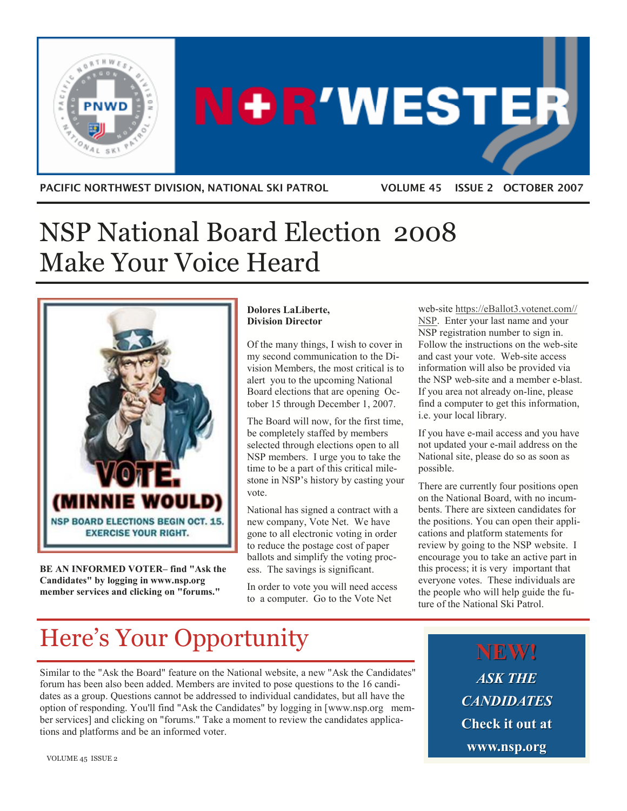

# **NOR'WESTER**

PACIFIC NORTHWEST DIVISION, NATIONAL SKI PATROL VOLUME 45 ISSUE 2 OCTOBER 2007

# NSP National Board Election 2008 Make Your Voice Heard



BE AN INFORMED VOTER– find "Ask the Candidates" by logging in www.nsp.org member services and clicking on "forums."

### Dolores LaLiberte, Division Director

Of the many things, I wish to cover in my second communication to the Division Members, the most critical is to alert you to the upcoming National Board elections that are opening October 15 through December 1, 2007.

The Board will now, for the first time, be completely staffed by members selected through elections open to all NSP members. I urge you to take the time to be a part of this critical milestone in NSP's history by casting your vote.

National has signed a contract with a new company, Vote Net. We have gone to all electronic voting in order to reduce the postage cost of paper ballots and simplify the voting process. The savings is significant.

In order to vote you will need access to a computer. Go to the Vote Net

web-site https://eBallot3.votenet.com// NSP. Enter your last name and your NSP registration number to sign in. Follow the instructions on the web-site and cast your vote. Web-site access information will also be provided via the NSP web-site and a member e-blast. If you area not already on-line, please find a computer to get this information, i.e. your local library.

If you have e-mail access and you have not updated your e-mail address on the National site, please do so as soon as possible.

There are currently four positions open on the National Board, with no incumbents. There are sixteen candidates for the positions. You can open their applications and platform statements for review by going to the NSP website. I encourage you to take an active part in this process; it is very important that everyone votes. These individuals are the people who will help guide the future of the National Ski Patrol.

# Here's Your Opportunity

Similar to the "Ask the Board" feature on the National website, a new "Ask the Candidates" forum has been also been added. Members are invited to pose questions to the 16 candidates as a group. Questions cannot be addressed to individual candidates, but all have the option of responding. You'll find "Ask the Candidates" by logging in [www.nsp.org member services] and clicking on "forums." Take a moment to review the candidates applications and platforms and be an informed voter.

NEW! ASK THE **CANDIDATES** Check it out at www.nsp.org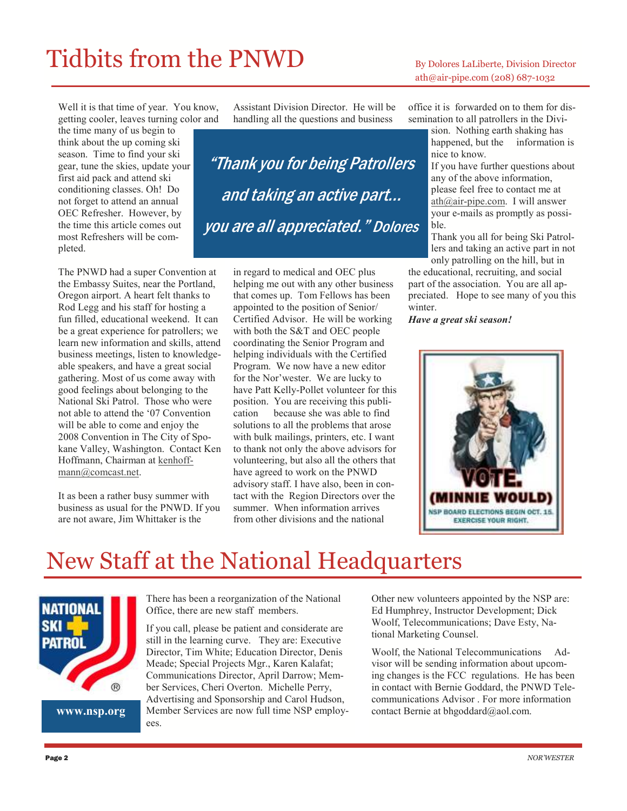# Tidbits from the PNWD By Dolores LaLiberte, Division Director

# ath@air-pipe.com (208) 687-1032

Well it is that time of year. You know, getting cooler, leaves turning color and the time many of us begin to think about the up coming ski season. Time to find your ski gear, tune the skies, update your first aid pack and attend ski conditioning classes. Oh! Do not forget to attend an annual OEC Refresher. However, by the time this article comes out most Refreshers will be completed.

The PNWD had a super Convention at the Embassy Suites, near the Portland, Oregon airport. A heart felt thanks to Rod Legg and his staff for hosting a fun filled, educational weekend. It can be a great experience for patrollers; we learn new information and skills, attend business meetings, listen to knowledgeable speakers, and have a great social gathering. Most of us come away with good feelings about belonging to the National Ski Patrol. Those who were not able to attend the '07 Convention will be able to come and enjoy the 2008 Convention in The City of Spokane Valley, Washington. Contact Ken Hoffmann, Chairman at kenhoffmann@comcast.net.

It as been a rather busy summer with business as usual for the PNWD. If you are not aware, Jim Whittaker is the

Assistant Division Director. He will be handling all the questions and business

"Thank you for being Patrollers and taking an active part… you are all appreciated." Dolores

> in regard to medical and OEC plus helping me out with any other business that comes up. Tom Fellows has been appointed to the position of Senior/ Certified Advisor. He will be working with both the S&T and OEC people coordinating the Senior Program and helping individuals with the Certified Program. We now have a new editor for the Nor'wester. We are lucky to have Patt Kelly-Pollet volunteer for this position. You are receiving this publication because she was able to find solutions to all the problems that arose with bulk mailings, printers, etc. I want to thank not only the above advisors for volunteering, but also all the others that have agreed to work on the PNWD advisory staff. I have also, been in contact with the Region Directors over the summer. When information arrives from other divisions and the national

office it is forwarded on to them for dissemination to all patrollers in the Divi-

sion. Nothing earth shaking has happened, but the information is nice to know.

If you have further questions about any of the above information, please feel free to contact me at ath@air-pipe.com. I will answer your e-mails as promptly as possible.

Thank you all for being Ski Patrollers and taking an active part in not only patrolling on the hill, but in

the educational, recruiting, and social part of the association. You are all appreciated. Hope to see many of you this winter.

Have a great ski season!



# New Staff at the National Headquarters



www.nsp.org

There has been a reorganization of the National Office, there are new staff members.

If you call, please be patient and considerate are still in the learning curve. They are: Executive Director, Tim White; Education Director, Denis Meade; Special Projects Mgr., Karen Kalafat; Communications Director, April Darrow; Member Services, Cheri Overton. Michelle Perry, Advertising and Sponsorship and Carol Hudson, Member Services are now full time NSP employees.

Other new volunteers appointed by the NSP are: Ed Humphrey, Instructor Development; Dick Woolf, Telecommunications; Dave Esty, National Marketing Counsel.

Woolf, the National Telecommunications Advisor will be sending information about upcoming changes is the FCC regulations. He has been in contact with Bernie Goddard, the PNWD Telecommunications Advisor . For more information contact Bernie at bhgoddard@aol.com.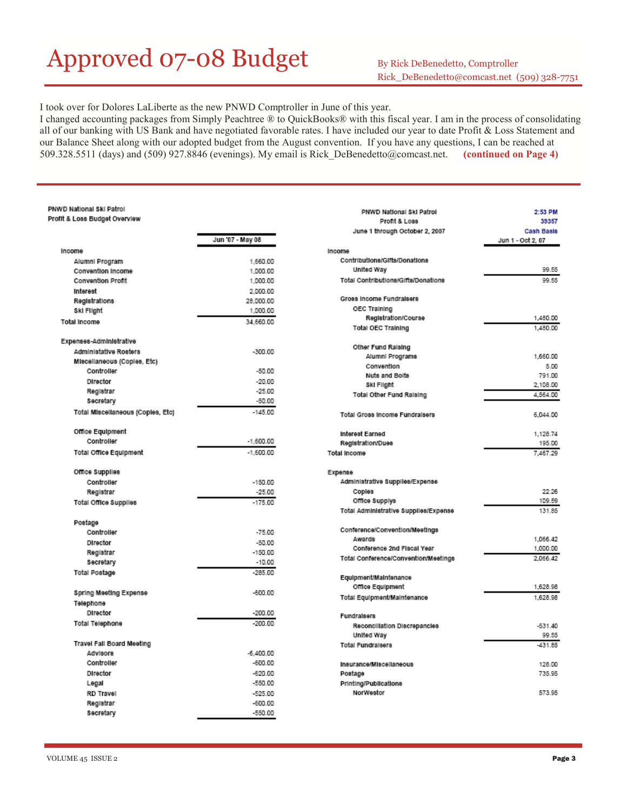# Approved 07-08 Budget By Rick DeBenedetto, Comptroller

I took over for Dolores LaLiberte as the new PNWD Comptroller in June of this year.

I changed accounting packages from Simply Peachtree ® to QuickBooks® with this fiscal year. I am in the process of consolidating all of our banking with US Bank and have negotiated favorable rates. I have included our year to date Profit & Loss Statement and our Balance Sheet along with our adopted budget from the August convention. If you have any questions, I can be reached at 509.328.5511 (days) and (509) 927.8846 (evenings). My email is Rick\_DeBenedetto@comcast.net. (continued on Page 4)

#### PNWD National Ski Patrol Profit & Loss Budget Overview

|                                   | Jun '07 - May 08 |
|-----------------------------------|------------------|
| Income                            |                  |
| Alumni Program                    | 1,660.00         |
| Convention Income                 | 1,000.00         |
| <b>Convention Profit</b>          | 1,000.00         |
| Interest                          | 2,000.00         |
| Registrations                     | 28,000.00        |
| Ski Flight                        | 1,000.00         |
| <b>Total Income</b>               | 34.660.00        |
| Expenses-Administrative           |                  |
| Administative Rosters             | $-300.00$        |
| Miscellaneous (Copies, Etc)       |                  |
| Controller                        | -50.00           |
| Director                          | $-20.00$         |
| Registrar                         | $-25.00$         |
| Secretary                         | -50.00           |
| Total Miscellaneous (Copies, Etc) | $-145.00$        |
| Office Equipment                  |                  |
| Controller                        | $-1,600.00$      |
| Total Office Equipment            | $-1,600.00$      |
| Office Supplies                   |                  |
| Controller                        | $-150.00$        |
| Registrar                         | $-25.00$         |
| Total Office Supplies             | $-175.00$        |
| Postage                           |                  |
| Controller                        | $-75.00$         |
| Director                          | $-50.00$         |
| Registrar                         | $-150.00$        |
| Secretary                         | $-10.00$         |
| Total Postage                     | $-285.00$        |
| Spring Meeting Expense            | $-600.00$        |
| Telephone                         |                  |
| Director                          | $-200.00$        |
| Total Telephone                   | $-200.00$        |
| Travel Fall Board Meeting         |                  |
| <b>Advisors</b>                   | $-6,400.00$      |
| Controller                        | $-600.00$        |
| Director                          | $-620.00$        |
| Legal                             | $-550.00$        |
| <b>RD Travel</b>                  | $-525.00$        |
| Registrar                         | $-600.00$        |
| Secretary                         | $-550.00$        |

| PNWD National Ski Patrol              | 2:53 PM           |
|---------------------------------------|-------------------|
| Profit & Loss                         | 39357             |
| June 1 through October 2, 2007        | <b>Cash Basis</b> |
|                                       | Jun 1 - Oct 2, 07 |
| Income                                |                   |
| Contributions/Gifts/Donations         |                   |
| United Way                            | 99.55             |
| Total Contributions/Gifts/Donations   | 99.55             |
| Gross Income Fundralsers              |                   |
| <b>OEC Training</b>                   |                   |
| Registration/Course                   | 1,480.00          |
| <b>Total OEC Training</b>             | 1,480.00          |
|                                       |                   |
| Other Fund Raising                    |                   |
| Alumni Programs                       | 1,660.00          |
| Convention                            | 5.00              |
| Nuts and Bolts                        | 791.00            |
| Ski Filght                            | 2,108.00          |
| <b>Total Other Fund Raising</b>       | 4,564.00          |
|                                       |                   |
| Total Gross Income Fundralsers        | 6,044.00          |
| Interest Earned                       | 1,128.74          |
| Registration/Dues                     | 195.00            |
| Total Income                          | 7.467.29          |
|                                       |                   |
| Expense                               |                   |
| Administrative Supplies/Expense       |                   |
| Coples                                | 22.26             |
| Office Supplys                        | 109.59            |
| Total Administrative Supplies/Expense | 131.85            |
| Conference/Convention/Meetings        |                   |
| Awards                                | 1,066.42          |
| Conference 2nd Fiscal Year            | 1,000.00          |
| Total Conference/Convention/Meetings  | 2.066.42          |
|                                       |                   |
| Equipment/Maintenance                 |                   |
| Office Equipment                      | 1,628.98          |
| Total Equipment/Maintenance           | 1,628.98          |
| Fundralsers                           |                   |
| Reconciliation Discrepancies          | $-531.40$         |
| United Way                            | 99.55             |
| <b>Total Fundralsers</b>              | $-431.85$         |
|                                       |                   |
| Insurance/Miscellaneous               | 128.00            |
| Postage                               | 735.95            |
| Printing/Publications                 |                   |
| NorWestor                             | 573.95            |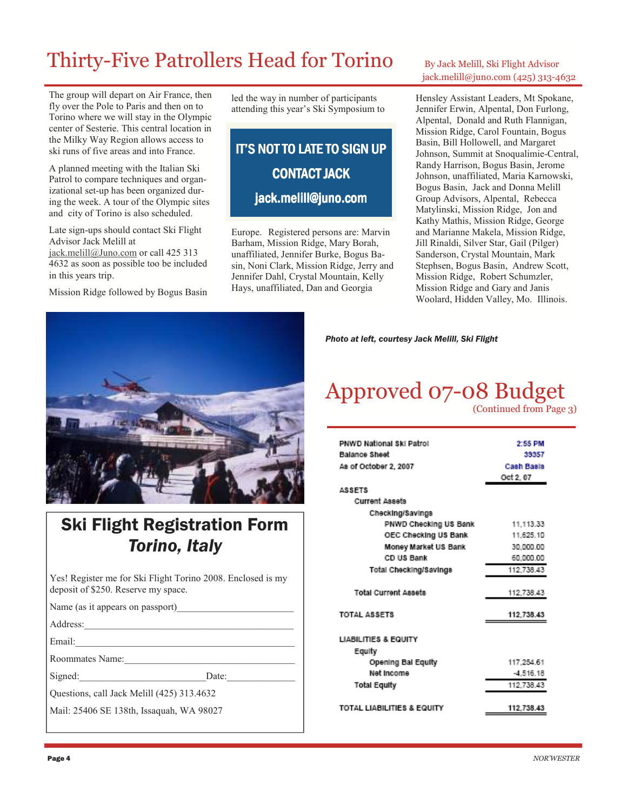# Thirty-Five Patrollers Head for Torino By Jack Melill, Ski Flight Advisor

The group will depart on Air France, then fly over the Pole to Paris and then on to Torino where we will stay in the Olympic center of Sesterie. This central location in the Milky Way Region allows access to ski runs of five areas and into France.

A planned meeting with the Italian Ski Patrol to compare techniques and organizational set-up has been organized during the week. A tour of the Olympic sites and city of Torino is also scheduled.

Late sign-ups should contact Ski Flight Advisor Jack Melill at jack.melill@Juno.com or call 425 313 4632 as soon as possible too be included in this years trip.

Mission Ridge followed by Bogus Basin

led the way in number of participants attending this year's Ski Symposium to

### **IT'S NOT TO LATE TO SIGN UP** CONTACT JACK jack.melill@juno.com

Europe. Registered persons are: Marvin Barham, Mission Ridge, Mary Borah, unaffiliated, Jennifer Burke, Bogus Basin, Noni Clark, Mission Ridge, Jerry and Jennifer Dahl, Crystal Mountain, Kelly Hays, unaffiliated, Dan and Georgia

# jack.melill@juno.com (425) 313-4632

Hensley Assistant Leaders, Mt Spokane, Jennifer Erwin, Alpental, Don Furlong, Alpental, Donald and Ruth Flannigan, Mission Ridge, Carol Fountain, Bogus Basin, Bill Hollowell, and Margaret Johnson, Summit at Snoqualimie-Central, Randy Harrison, Bogus Basin, Jerome Johnson, unaffiliated, Maria Karnowski, Bogus Basin, Jack and Donna Melill Group Advisors, Alpental, Rebecca Matylinski, Mission Ridge, Jon and Kathy Mathis, Mission Ridge, George and Marianne Makela, Mission Ridge, Jill Rinaldi, Silver Star, Gail (Pilger) Sanderson, Crystal Mountain, Mark Stephsen, Bogus Basin, Andrew Scott, Mission Ridge, Robert Schumzler, Mission Ridge and Gary and Janis Woolard, Hidden Valley, Mo. Illinois.



### Ski Flight Registration Form Torino, Italy

Yes! Register me for Ski Flight Torino 2008. Enclosed is my deposit of \$250. Reserve my space.

Name (as it appears on passport)

Address:

Email:

Roommates Name:

Signed: Date:

Questions, call Jack Melill (425) 313.4632

Mail: 25406 SE 138th, Issaquah, WA 98027

Photo at left, courtesy Jack Melill, Ski Flight

### Approved 07-08 Budget (Continued from Page 3)

| <b>PNWD National Ski Patrol</b> | 2:55 PM     |
|---------------------------------|-------------|
| <b>Balance Sheet</b>            | 39357       |
| As of October 2, 2007           | Cash Basis  |
|                                 | Oct 2, 07   |
| <b>ASSETS</b>                   |             |
| <b>Current Assets</b>           |             |
| Checking/Savings                |             |
| PNWD Checking US Bank           | 11.113.33   |
| OEC Checking US Bank            | 11,625.10   |
| Money Market US Bank            | 30.000.00   |
| CD US Bank                      | 60.000.00   |
| Total Checking/Savings          | 112.738.43  |
| <b>Total Current Assets</b>     | 112.738.43  |
| TOTAL ASSETS                    | 112.738.43  |
| <b>LIABILITIES &amp; EQUITY</b> |             |
| Equity                          |             |
| Opening Bal Equity              | 117.254.61  |
| Net Income                      | $-4.516.18$ |
| <b>Total Equity</b>             | 112.738.43  |
|                                 |             |
| TOTAL LIABILITIES & EQUITY      | 112.738.43  |
|                                 |             |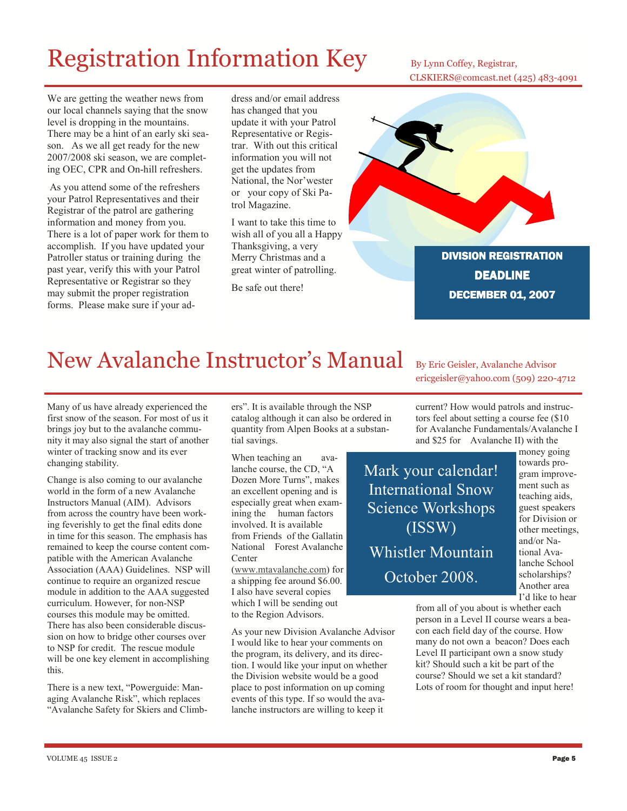# Registration Information Key By Lynn Coffey, Registrar,

CLSKIERS@comcast.net (425) 483-4091

We are getting the weather news from our local channels saying that the snow level is dropping in the mountains. There may be a hint of an early ski season. As we all get ready for the new 2007/2008 ski season, we are completing OEC, CPR and On-hill refreshers.

 As you attend some of the refreshers your Patrol Representatives and their Registrar of the patrol are gathering information and money from you. There is a lot of paper work for them to accomplish. If you have updated your Patroller status or training during the past year, verify this with your Patrol Representative or Registrar so they may submit the proper registration forms. Please make sure if your ad-

dress and/or email address has changed that you update it with your Patrol Representative or Registrar. With out this critical information you will not get the updates from National, the Nor'wester or your copy of Ski Patrol Magazine.

I want to take this time to wish all of you all a Happy Thanksgiving, a very Merry Christmas and a great winter of patrolling.

Be safe out there!



DIVISION REGISTRATION **DEADLINE** DECEMBER 01, 2007

# New Avalanche Instructor's Manual By Eric Geisler, Avalanche Advisor

Many of us have already experienced the first snow of the season. For most of us it brings joy but to the avalanche community it may also signal the start of another winter of tracking snow and its ever changing stability.

Change is also coming to our avalanche world in the form of a new Avalanche Instructors Manual (AIM). Advisors from across the country have been working feverishly to get the final edits done in time for this season. The emphasis has remained to keep the course content compatible with the American Avalanche Association (AAA) Guidelines. NSP will continue to require an organized rescue module in addition to the AAA suggested curriculum. However, for non-NSP courses this module may be omitted. There has also been considerable discussion on how to bridge other courses over to NSP for credit. The rescue module will be one key element in accomplishing this.

There is a new text, "Powerguide: Managing Avalanche Risk", which replaces "Avalanche Safety for Skiers and Climbers". It is available through the NSP catalog although it can also be ordered in quantity from Alpen Books at a substantial savings.

When teaching an avalanche course, the CD, "A Dozen More Turns", makes an excellent opening and is especially great when examining the human factors involved. It is available from Friends of the Gallatin National Forest Avalanche Center

(www.mtavalanche.com) for a shipping fee around \$6.00. I also have several copies which I will be sending out to the Region Advisors.

As your new Division Avalanche Advisor I would like to hear your comments on the program, its delivery, and its direction. I would like your input on whether the Division website would be a good place to post information on up coming events of this type. If so would the avalanche instructors are willing to keep it

ericgeisler@yahoo.com (509) 220-4712

current? How would patrols and instructors feel about setting a course fee (\$10 for Avalanche Fundamentals/Avalanche I and \$25 for Avalanche II) with the

Mark your calendar! International Snow Science Workshops (ISSW) Whistler Mountain October 2008.

money going towards program improvement such as teaching aids, guest speakers for Division or other meetings, and/or National Avalanche School scholarships? Another area I'd like to hear

from all of you about is whether each person in a Level II course wears a beacon each field day of the course. How many do not own a beacon? Does each Level II participant own a snow study kit? Should such a kit be part of the course? Should we set a kit standard? Lots of room for thought and input here!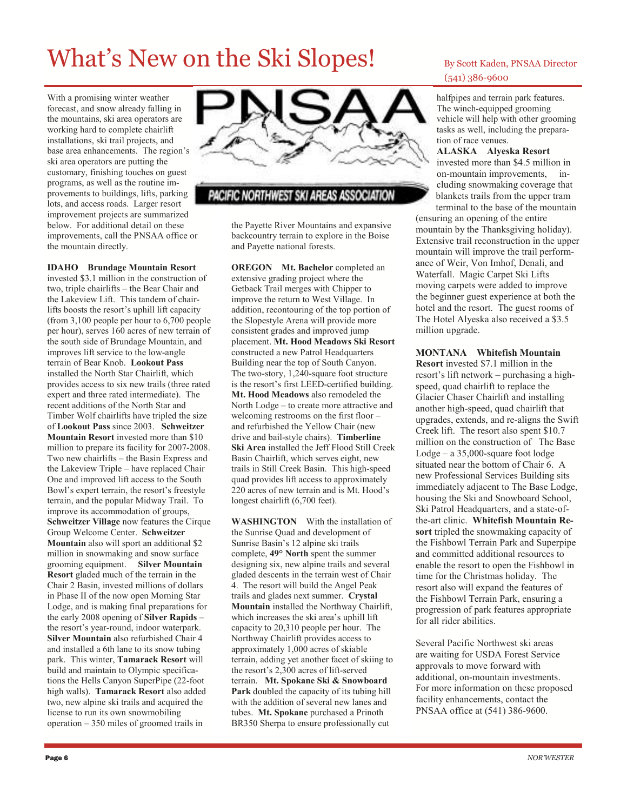# What's New on the Ski Slopes! By Scott Kaden, PNSAA Director

With a promising winter weather forecast, and snow already falling in the mountains, ski area operators are working hard to complete chairlift installations, ski trail projects, and base area enhancements. The region's ski area operators are putting the customary, finishing touches on guest programs, as well as the routine improvements to buildings, lifts, parking lots, and access roads. Larger resort improvement projects are summarized below. For additional detail on these improvements, call the PNSAA office or the mountain directly.

IDAHO Brundage Mountain Resort invested \$3.1 million in the construction of two, triple chairlifts – the Bear Chair and the Lakeview Lift. This tandem of chairlifts boosts the resort's uphill lift capacity (from 3,100 people per hour to 6,700 people per hour), serves 160 acres of new terrain of the south side of Brundage Mountain, and improves lift service to the low-angle terrain of Bear Knob. Lookout Pass installed the North Star Chairlift, which provides access to six new trails (three rated expert and three rated intermediate). The recent additions of the North Star and Timber Wolf chairlifts have tripled the size of Lookout Pass since 2003. Schweitzer Mountain Resort invested more than \$10 million to prepare its facility for 2007-2008. Two new chairlifts – the Basin Express and the Lakeview Triple – have replaced Chair One and improved lift access to the South Bowl's expert terrain, the resort's freestyle terrain, and the popular Midway Trail. To improve its accommodation of groups, Schweitzer Village now features the Cirque Group Welcome Center. Schweitzer Mountain also will sport an additional \$2 million in snowmaking and snow surface grooming equipment. Silver Mountain Resort gladed much of the terrain in the Chair 2 Basin, invested millions of dollars in Phase II of the now open Morning Star Lodge, and is making final preparations for the early 2008 opening of Silver Rapids – the resort's year-round, indoor waterpark. Silver Mountain also refurbished Chair 4 and installed a 6th lane to its snow tubing park. This winter, Tamarack Resort will build and maintain to Olympic specifications the Hells Canyon SuperPipe (22-foot high walls). Tamarack Resort also added two, new alpine ski trails and acquired the license to run its own snowmobiling operation – 350 miles of groomed trails in



### PACIFIC NORTHWEST SKI AREAS ASSOCIATION

the Payette River Mountains and expansive backcountry terrain to explore in the Boise and Payette national forests.

OREGON Mt. Bachelor completed an extensive grading project where the Getback Trail merges with Chipper to improve the return to West Village. In addition, recontouring of the top portion of the Slopestyle Arena will provide more consistent grades and improved jump placement. Mt. Hood Meadows Ski Resort constructed a new Patrol Headquarters Building near the top of South Canyon. The two-story, 1,240-square foot structure is the resort's first LEED-certified building. Mt. Hood Meadows also remodeled the North Lodge – to create more attractive and welcoming restrooms on the first floor – and refurbished the Yellow Chair (new drive and bail-style chairs). Timberline Ski Area installed the Jeff Flood Still Creek Basin Chairlift, which serves eight, new trails in Still Creek Basin. This high-speed quad provides lift access to approximately 220 acres of new terrain and is Mt. Hood's longest chairlift (6,700 feet).

WASHINGTON With the installation of the Sunrise Quad and development of Sunrise Basin's 12 alpine ski trails complete, 49° North spent the summer designing six, new alpine trails and several gladed descents in the terrain west of Chair 4. The resort will build the Angel Peak trails and glades next summer. Crystal Mountain installed the Northway Chairlift, which increases the ski area's uphill lift capacity to 20,310 people per hour. The Northway Chairlift provides access to approximately 1,000 acres of skiable terrain, adding yet another facet of skiing to the resort's 2,300 acres of lift-served terrain. Mt. Spokane Ski & Snowboard Park doubled the capacity of its tubing hill with the addition of several new lanes and tubes. Mt. Spokane purchased a Prinoth BR350 Sherpa to ensure professionally cut

# (541) 386-9600

halfpipes and terrain park features. The winch-equipped grooming vehicle will help with other grooming tasks as well, including the preparation of race venues.

ALASKA Alyeska Resort invested more than \$4.5 million in on-mountain improvements, including snowmaking coverage that blankets trails from the upper tram

terminal to the base of the mountain (ensuring an opening of the entire mountain by the Thanksgiving holiday). Extensive trail reconstruction in the upper mountain will improve the trail performance of Weir, Von Imhof, Denali, and Waterfall. Magic Carpet Ski Lifts moving carpets were added to improve the beginner guest experience at both the hotel and the resort. The guest rooms of The Hotel Alyeska also received a \$3.5 million upgrade.

### MONTANA Whitefish Mountain

Resort invested \$7.1 million in the resort's lift network – purchasing a highspeed, quad chairlift to replace the Glacier Chaser Chairlift and installing another high-speed, quad chairlift that upgrades, extends, and re-aligns the Swift Creek lift. The resort also spent \$10.7 million on the construction of The Base Lodge – a 35,000-square foot lodge situated near the bottom of Chair 6. A new Professional Services Building sits immediately adjacent to The Base Lodge, housing the Ski and Snowboard School, Ski Patrol Headquarters, and a state-ofthe-art clinic. Whitefish Mountain Resort tripled the snowmaking capacity of the Fishbowl Terrain Park and Superpipe and committed additional resources to enable the resort to open the Fishbowl in time for the Christmas holiday. The resort also will expand the features of the Fishbowl Terrain Park, ensuring a progression of park features appropriate for all rider abilities.

Several Pacific Northwest ski areas are waiting for USDA Forest Service approvals to move forward with additional, on-mountain investments. For more information on these proposed facility enhancements, contact the PNSAA office at (541) 386-9600.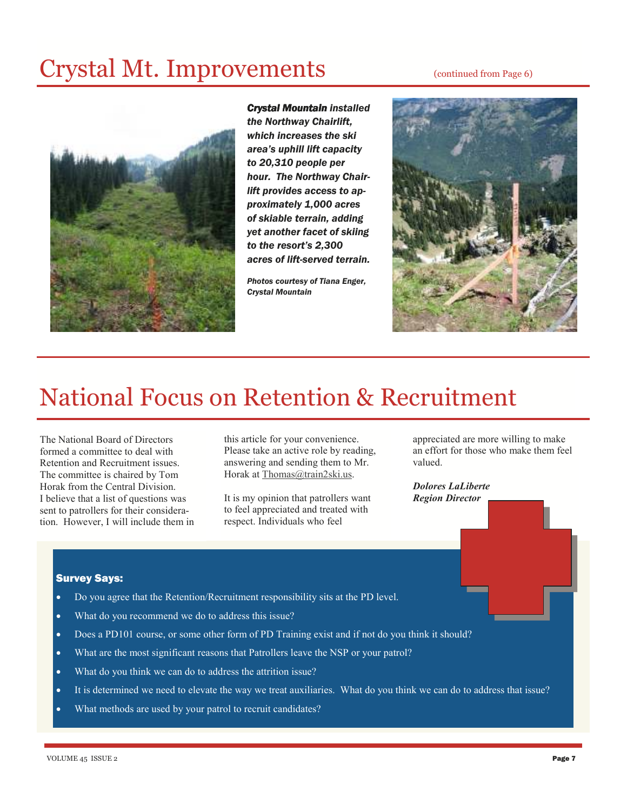# Crystal Mt. Improvements (continued from Page 6)



**Crystal Mountain installed** the Northway Chairlift, which increases the ski area's uphill lift capacity to 20,310 people per hour. The Northway Chairlift provides access to approximately 1,000 acres of skiable terrain, adding yet another facet of skiing to the resort's 2,300 acres of lift-served terrain.

Photos courtesy of Tiana Enger, Crystal Mountain



# National Focus on Retention & Recruitment

The National Board of Directors formed a committee to deal with Retention and Recruitment issues. The committee is chaired by Tom Horak from the Central Division. I believe that a list of questions was sent to patrollers for their consideration. However, I will include them in this article for your convenience. Please take an active role by reading, answering and sending them to Mr. Horak at Thomas@train2ski.us.

It is my opinion that patrollers want to feel appreciated and treated with respect. Individuals who feel

appreciated are more willing to make an effort for those who make them feel valued.

Dolores LaLiberte Region Director

### Survey Says:

- Do you agree that the Retention/Recruitment responsibility sits at the PD level.
- What do you recommend we do to address this issue?
- Does a PD101 course, or some other form of PD Training exist and if not do you think it should?
- What are the most significant reasons that Patrollers leave the NSP or your patrol?
- What do you think we can do to address the attrition issue?
- It is determined we need to elevate the way we treat auxiliaries. What do you think we can do to address that issue?
- What methods are used by your patrol to recruit candidates?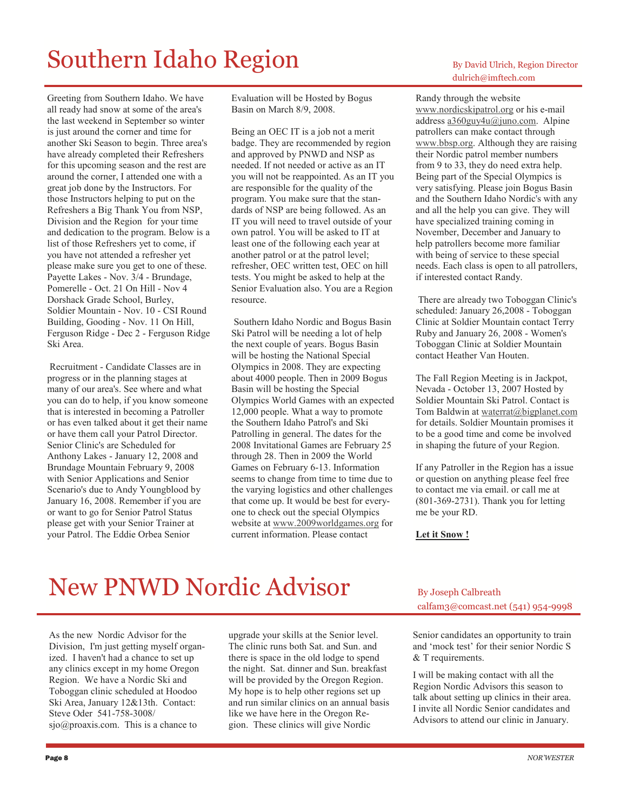# Southern Idaho Region By David Ulrich, Region Director

Greeting from Southern Idaho. We have all ready had snow at some of the area's the last weekend in September so winter is just around the corner and time for another Ski Season to begin. Three area's have already completed their Refreshers for this upcoming season and the rest are around the corner, I attended one with a great job done by the Instructors. For those Instructors helping to put on the Refreshers a Big Thank You from NSP, Division and the Region for your time and dedication to the program. Below is a list of those Refreshers yet to come, if you have not attended a refresher yet please make sure you get to one of these. Payette Lakes - Nov. 3/4 - Brundage, Pomerelle - Oct. 21 On Hill - Nov 4 Dorshack Grade School, Burley, Soldier Mountain - Nov. 10 - CSI Round Building, Gooding - Nov. 11 On Hill, Ferguson Ridge - Dec 2 - Ferguson Ridge Ski Area.

 Recruitment - Candidate Classes are in progress or in the planning stages at many of our area's. See where and what you can do to help, if you know someone that is interested in becoming a Patroller or has even talked about it get their name or have them call your Patrol Director. Senior Clinic's are Scheduled for Anthony Lakes - January 12, 2008 and Brundage Mountain February 9, 2008 with Senior Applications and Senior Scenario's due to Andy Youngblood by January 16, 2008. Remember if you are or want to go for Senior Patrol Status please get with your Senior Trainer at your Patrol. The Eddie Orbea Senior

Evaluation will be Hosted by Bogus Basin on March 8/9, 2008.

Being an OEC IT is a job not a merit badge. They are recommended by region and approved by PNWD and NSP as needed. If not needed or active as an IT you will not be reappointed. As an IT you are responsible for the quality of the program. You make sure that the standards of NSP are being followed. As an IT you will need to travel outside of your own patrol. You will be asked to IT at least one of the following each year at another patrol or at the patrol level; refresher, OEC written test, OEC on hill tests. You might be asked to help at the Senior Evaluation also. You are a Region resource.

 Southern Idaho Nordic and Bogus Basin Ski Patrol will be needing a lot of help the next couple of years. Bogus Basin will be hosting the National Special Olympics in 2008. They are expecting about 4000 people. Then in 2009 Bogus Basin will be hosting the Special Olympics World Games with an expected 12,000 people. What a way to promote the Southern Idaho Patrol's and Ski Patrolling in general. The dates for the 2008 Invitational Games are February 25 through 28. Then in 2009 the World Games on February 6-13. Information seems to change from time to time due to the varying logistics and other challenges that come up. It would be best for everyone to check out the special Olympics website at www.2009worldgames.org for current information. Please contact

# dulrich@imftech.com

### Randy through the website

www.nordicskipatrol.org or his e-mail address a360guy4u@juno.com. Alpine patrollers can make contact through www.bbsp.org. Although they are raising their Nordic patrol member numbers from 9 to 33, they do need extra help. Being part of the Special Olympics is very satisfying. Please join Bogus Basin and the Southern Idaho Nordic's with any and all the help you can give. They will have specialized training coming in November, December and January to help patrollers become more familiar with being of service to these special needs. Each class is open to all patrollers, if interested contact Randy.

 There are already two Toboggan Clinic's scheduled: January 26,2008 - Toboggan Clinic at Soldier Mountain contact Terry Ruby and January 26, 2008 - Women's Toboggan Clinic at Soldier Mountain contact Heather Van Houten.

The Fall Region Meeting is in Jackpot, Nevada - October 13, 2007 Hosted by Soldier Mountain Ski Patrol. Contact is Tom Baldwin at waterrat@bigplanet.com for details. Soldier Mountain promises it to be a good time and come be involved in shaping the future of your Region.

If any Patroller in the Region has a issue or question on anything please feel free to contact me via email. or call me at (801-369-2731). Thank you for letting me be your RD.

#### Let it Snow !

# New PNWD Nordic Advisor By Joseph Calbreath

As the new Nordic Advisor for the Division, I'm just getting myself organized. I haven't had a chance to set up any clinics except in my home Oregon Region. We have a Nordic Ski and Toboggan clinic scheduled at Hoodoo Ski Area, January 12&13th. Contact: Steve Oder 541-758-3008/ sjo@proaxis.com. This is a chance to

upgrade your skills at the Senior level. The clinic runs both Sat. and Sun. and there is space in the old lodge to spend the night. Sat. dinner and Sun. breakfast will be provided by the Oregon Region. My hope is to help other regions set up and run similar clinics on an annual basis like we have here in the Oregon Region. These clinics will give Nordic

calfam3@comcast.net (541) 954-9998

Senior candidates an opportunity to train and 'mock test' for their senior Nordic S & T requirements.

I will be making contact with all the Region Nordic Advisors this season to talk about setting up clinics in their area. I invite all Nordic Senior candidates and Advisors to attend our clinic in January.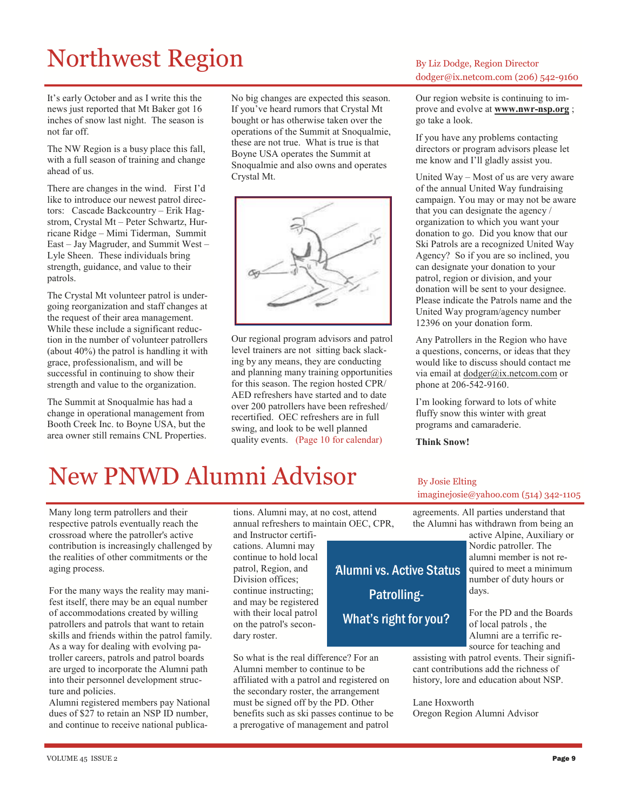# Northwest Region By Liz Dodge, Region Director

It's early October and as I write this the news just reported that Mt Baker got 16 inches of snow last night. The season is not far off.

The NW Region is a busy place this fall, with a full season of training and change ahead of us.

There are changes in the wind. First I'd like to introduce our newest patrol directors: Cascade Backcountry – Erik Hagstrom, Crystal Mt – Peter Schwartz, Hurricane Ridge – Mimi Tiderman, Summit East – Jay Magruder, and Summit West – Lyle Sheen. These individuals bring strength, guidance, and value to their patrols.

The Crystal Mt volunteer patrol is undergoing reorganization and staff changes at the request of their area management. While these include a significant reduction in the number of volunteer patrollers (about 40%) the patrol is handling it with grace, professionalism, and will be successful in continuing to show their strength and value to the organization.

The Summit at Snoqualmie has had a change in operational management from Booth Creek Inc. to Boyne USA, but the area owner still remains CNL Properties. No big changes are expected this season. If you've heard rumors that Crystal Mt bought or has otherwise taken over the operations of the Summit at Snoqualmie, these are not true. What is true is that Boyne USA operates the Summit at Snoqualmie and also owns and operates Crystal Mt.



Our regional program advisors and patrol level trainers are not sitting back slacking by any means, they are conducting and planning many training opportunities for this season. The region hosted CPR/ AED refreshers have started and to date over 200 patrollers have been refreshed/ recertified. OEC refreshers are in full swing, and look to be well planned quality events. (Page 10 for calendar)

# dodger@ix.netcom.com (206) 542-9160

Our region website is continuing to improve and evolve at **www.nwr-nsp.org**; go take a look.

If you have any problems contacting directors or program advisors please let me know and I'll gladly assist you.

United Way – Most of us are very aware of the annual United Way fundraising campaign. You may or may not be aware that you can designate the agency / organization to which you want your donation to go. Did you know that our Ski Patrols are a recognized United Way Agency? So if you are so inclined, you can designate your donation to your patrol, region or division, and your donation will be sent to your designee. Please indicate the Patrols name and the United Way program/agency number 12396 on your donation form.

Any Patrollers in the Region who have a questions, concerns, or ideas that they would like to discuss should contact me via email at dodger@ix.netcom.com or phone at 206-542-9160.

I'm looking forward to lots of white fluffy snow this winter with great programs and camaraderie.

Think Snow!

'Alumni vs. Active Status

Patrolling-

What's right for you?

# New PNWD Alumni Advisor By Josie Elting

Many long term patrollers and their respective patrols eventually reach the crossroad where the patroller's active contribution is increasingly challenged by the realities of other commitments or the aging process.

For the many ways the reality may manifest itself, there may be an equal number of accommodations created by willing patrollers and patrols that want to retain skills and friends within the patrol family. As a way for dealing with evolving patroller careers, patrols and patrol boards are urged to incorporate the Alumni path into their personnel development structure and policies.

Alumni registered members pay National dues of \$27 to retain an NSP ID number, and continue to receive national publications. Alumni may, at no cost, attend annual refreshers to maintain OEC, CPR, and Instructor certifi-

cations. Alumni may continue to hold local patrol, Region, and Division offices; continue instructing; and may be registered with their local patrol on the patrol's secondary roster.

So what is the real difference? For an Alumni member to continue to be affiliated with a patrol and registered on the secondary roster, the arrangement must be signed off by the PD. Other benefits such as ski passes continue to be a prerogative of management and patrol

agreements. All parties understand that the Alumni has withdrawn from being an imaginejosie@yahoo.com (514) 342-1105

> active Alpine, Auxiliary or Nordic patroller. The alumni member is not required to meet a minimum number of duty hours or days.

For the PD and the Boards of local patrols , the Alumni are a terrific resource for teaching and

assisting with patrol events. Their significant contributions add the richness of history, lore and education about NSP.

Lane Hoxworth Oregon Region Alumni Advisor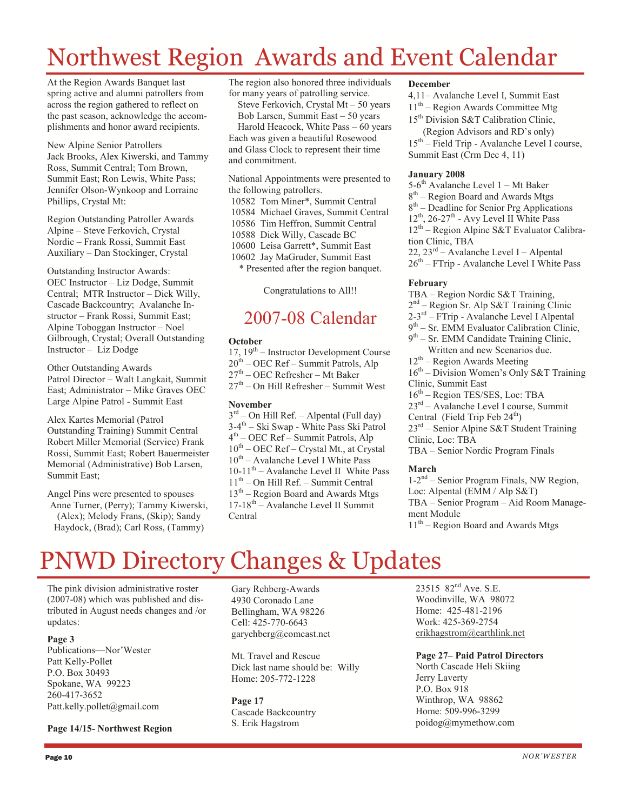# Northwest Region Awards and Event Calendar

At the Region Awards Banquet last spring active and alumni patrollers from across the region gathered to reflect on the past season, acknowledge the accomplishments and honor award recipients.

New Alpine Senior Patrollers Jack Brooks, Alex Kiwerski, and Tammy Ross, Summit Central; Tom Brown, Summit East; Ron Lewis, White Pass; Jennifer Olson-Wynkoop and Lorraine Phillips, Crystal Mt:

Region Outstanding Patroller Awards Alpine – Steve Ferkovich, Crystal Nordic – Frank Rossi, Summit East Auxiliary – Dan Stockinger, Crystal

Outstanding Instructor Awards: OEC Instructor – Liz Dodge, Summit Central; MTR Instructor – Dick Willy, Cascade Backcountry; Avalanche Instructor – Frank Rossi, Summit East; Alpine Toboggan Instructor – Noel Gilbrough, Crystal; Overall Outstanding Instructor – Liz Dodge

Other Outstanding Awards Patrol Director – Walt Langkait, Summit East; Administrator – Mike Graves OEC Large Alpine Patrol - Summit East

Alex Kartes Memorial (Patrol Outstanding Training) Summit Central Robert Miller Memorial (Service) Frank Rossi, Summit East; Robert Bauermeister Memorial (Administrative) Bob Larsen, Summit East;

Angel Pins were presented to spouses Anne Turner, (Perry); Tammy Kiwerski, (Alex); Melody Frans, (Skip); Sandy Haydock, (Brad); Carl Ross, (Tammy)

The region also honored three individuals for many years of patrolling service. Steve Ferkovich, Crystal Mt – 50 years Bob Larsen, Summit East – 50 years Harold Heacock, White Pass – 60 years Each was given a beautiful Rosewood and Glass Clock to represent their time and commitment.

National Appointments were presented to the following patrollers.

 10582 Tom Miner\*, Summit Central 10584 Michael Graves, Summit Central 10586 Tim Heffron, Summit Central 10588 Dick Willy, Cascade BC 10600 Leisa Garrett\*, Summit East 10602 Jay MaGruder, Summit East \* Presented after the region banquet.

Congratulations to All!!

### 2007-08 Calendar

#### **October**

 $17, 19<sup>th</sup>$  – Instructor Development Course  $20<sup>th</sup>$  – OEC Ref – Summit Patrols, Alp  $27<sup>th</sup>$  – OEC Refresher – Mt Baker  $27<sup>th</sup>$  – On Hill Refresher – Summit West

#### November

 $3<sup>rd</sup>$  – On Hill Ref. – Alpental (Full day) 3-4<sup>th</sup> – Ski Swap - White Pass Ski Patrol 4 th – OEC Ref – Summit Patrols, Alp  $10^{th}$  – OEC Ref – Crystal Mt., at Crystal  $10^{th}$  – Avalanche Level I White Pass  $10-11^{th}$  – Avalanche Level II White Pass  $11<sup>th</sup>$  – On Hill Ref. – Summit Central  $13<sup>th</sup>$  – Region Board and Awards Mtgs  $17-18^{th}$  – Avalanche Level II Summit Central

#### December

4,11– Avalanche Level I, Summit East  $11<sup>th</sup>$  – Region Awards Committee Mtg 15<sup>th</sup> Division S&T Calibration Clinic,

 (Region Advisors and RD's only) 15th – Field Trip - Avalanche Level I course, Summit East (Crm Dec 4, 11)

### January 2008

5-6<sup>th</sup> Avalanche Level 1 – Mt Baker 8<sup>th</sup> – Region Board and Awards Mtgs 8 th – Deadline for Senior Prg Applications  $12^{th}$ ,  $26-27^{th}$  - Avy Level II White Pass  $12<sup>th</sup>$  – Region Alpine S&T Evaluator Calibration Clinic, TBA

22, 23rd – Avalanche Level I – Alpental

 $26^{th}$  – FTrip - Avalanche Level I White Pass

### February

TBA – Region Nordic S&T Training, 2 nd – Region Sr. Alp S&T Training Clinic 2-3rd – FTrip - Avalanche Level I Alpental

9<sup>th</sup> – Sr. EMM Evaluator Calibration Clinic,

9<sup>th</sup> – Sr. EMM Candidate Training Clinic, Written and new Scenarios due.

 $12<sup>th</sup>$  – Region Awards Meeting

16th – Division Women's Only S&T Training

Clinic, Summit East

16th – Region TES/SES, Loc: TBA

23rd – Avalanche Level I course, Summit

Central (Field Trip Feb 24<sup>th</sup>)

- 23rd Senior Alpine S&T Student Training Clinic, Loc: TBA
- TBA Senior Nordic Program Finals

### March

1-2nd – Senior Program Finals, NW Region, Loc: Alpental (EMM / Alp S&T) TBA – Senior Program – Aid Room Management Module  $11<sup>th</sup>$  – Region Board and Awards Mtgs

# PNWD Directory Changes & Updates

The pink division administrative roster (2007-08) which was published and distributed in August needs changes and /or updates:

### Page 3

Publications—Nor'Wester Patt Kelly-Pollet P.O. Box 30493 Spokane, WA 99223 260-417-3652 Patt.kelly.pollet@gmail.com

Page 14/15- Northwest Region

Gary Rehberg-Awards 4930 Coronado Lane Bellingham, WA 98226 Cell: 425-770-6643 garyehberg@comcast.net

Mt. Travel and Rescue Dick last name should be: Willy Home: 205-772-1228

Page 17 Cascade Backcountry S. Erik Hagstrom

23515 82<sup>nd</sup> Ave. S.E. Woodinville, WA 98072 Home: 425-481-2196 Work: 425-369-2754 erikhagstrom@earthlink.net

### Page 27– Paid Patrol Directors

North Cascade Heli Skiing Jerry Laverty P.O. Box 918 Winthrop, WA 98862 Home: 509-996-3299 poidog@mymethow.com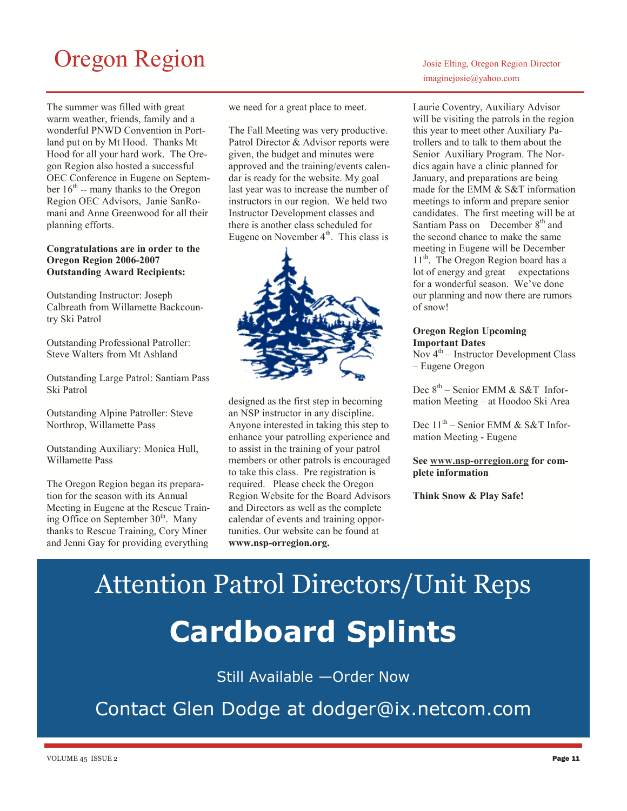# Oregon Region  $\log_{10}$

The summer was filled with great warm weather, friends, family and a wonderful PNWD Convention in Portland put on by Mt Hood. Thanks Mt Hood for all your hard work. The Oregon Region also hosted a successful OEC Conference in Eugene on September  $16<sup>th</sup>$  -- many thanks to the Oregon Region OEC Advisors, Janie SanRomani and Anne Greenwood for all their planning efforts.

### Congratulations are in order to the Oregon Region 2006-2007 Outstanding Award Recipients:

Outstanding Instructor: Joseph Calbreath from Willamette Backcountry Ski Patrol

Outstanding Professional Patroller: Steve Walters from Mt Ashland

Outstanding Large Patrol: Santiam Pass Ski Patrol

Outstanding Alpine Patroller: Steve Northrop, Willamette Pass

Outstanding Auxiliary: Monica Hull, Willamette Pass

The Oregon Region began its preparation for the season with its Annual Meeting in Eugene at the Rescue Training Office on September 30<sup>th</sup>. Many thanks to Rescue Training, Cory Miner and Jenni Gay for providing everything

we need for a great place to meet.

The Fall Meeting was very productive. Patrol Director & Advisor reports were given, the budget and minutes were approved and the training/events calendar is ready for the website. My goal last year was to increase the number of instructors in our region. We held two Instructor Development classes and there is another class scheduled for Eugene on November  $4<sup>th</sup>$ . This class is



designed as the first step in becoming an NSP instructor in any discipline. Anyone interested in taking this step to enhance your patrolling experience and to assist in the training of your patrol members or other patrols is encouraged to take this class. Pre registration is required. Please check the Oregon Region Website for the Board Advisors and Directors as well as the complete calendar of events and training opportunities. Our website can be found at www.nsp-orregion.org.

Laurie Coventry, Auxiliary Advisor will be visiting the patrols in the region this year to meet other Auxiliary Patrollers and to talk to them about the Senior Auxiliary Program. The Nordics again have a clinic planned for January, and preparations are being made for the EMM & S&T information meetings to inform and prepare senior

candidates. The first meeting will be at Santiam Pass on December  $8<sup>th</sup>$  and the second chance to make the same meeting in Eugene will be December 11<sup>th</sup>. The Oregon Region board has a lot of energy and great expectations for a wonderful season. We've done our planning and now there are rumors

### Oregon Region Upcoming Important Dates

of snow!

Nov  $4<sup>th</sup>$  – Instructor Development Class – Eugene Oregon

Dec  $8<sup>th</sup>$  – Senior EMM & S&T Information Meeting – at Hoodoo Ski Area

Dec  $11<sup>th</sup>$  – Senior EMM & S&T Information Meeting - Eugene

#### See www.nsp-orregion.org for complete information

Think Snow & Play Safe!

Attention Patrol Directors/Unit Reps Cardboard Splints

### Still Available —Order Now

Contact Glen Dodge at dodger@ix.netcom.com

### imaginejosie@yahoo.com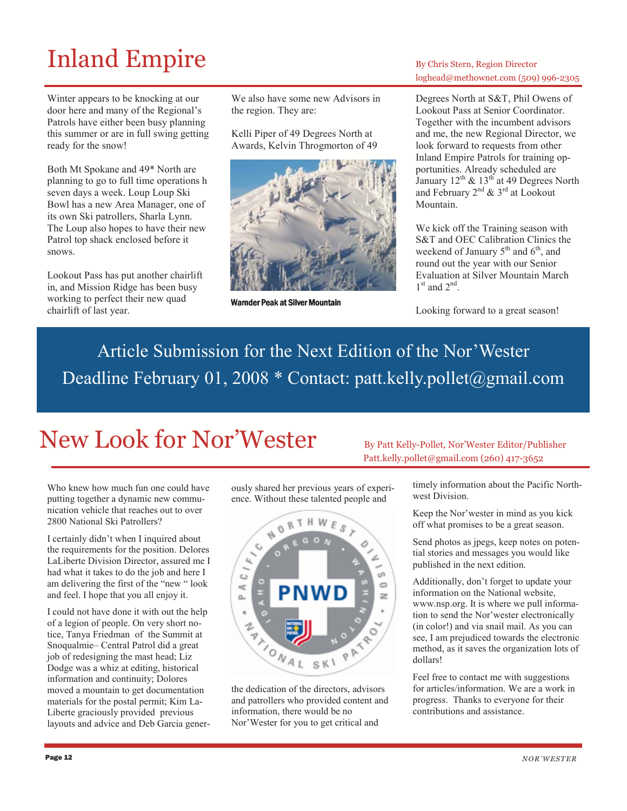# Inland Empire By Chris Stern, Region Director

Winter appears to be knocking at our door here and many of the Regional's Patrols have either been busy planning this summer or are in full swing getting ready for the snow!

Both Mt Spokane and 49\* North are planning to go to full time operations h seven days a week. Loup Loup Ski Bowl has a new Area Manager, one of its own Ski patrollers, Sharla Lynn. The Loup also hopes to have their new Patrol top shack enclosed before it snows.

Lookout Pass has put another chairlift in, and Mission Ridge has been busy working to perfect their new quad chairlift of last year.

We also have some new Advisors in the region. They are:

Kelli Piper of 49 Degrees North at Awards, Kelvin Throgmorton of 49



Warnder Peak at Silver Mountain

### loghead@methownet.com (509) 996-2305

Degrees North at S&T, Phil Owens of Lookout Pass at Senior Coordinator. Together with the incumbent advisors and me, the new Regional Director, we look forward to requests from other Inland Empire Patrols for training opportunities. Already scheduled are January  $12^{th}$  &  $13^{th}$  at 49 Degrees North and February  $2^{nd}$  &  $3^{rd}$  at Lookout Mountain.

We kick off the Training season with S&T and OEC Calibration Clinics the weekend of January  $5<sup>th</sup>$  and  $6<sup>th</sup>$ , and round out the year with our Senior Evaluation at Silver Mountain March  $1<sup>st</sup>$  and  $2<sup>nd</sup>$ .

Looking forward to a great season!

# Article Submission for the Next Edition of the Nor'Wester Deadline February 01, 2008 \* Contact: patt.kelly.pollet@gmail.com

# New Look for Nor'Wester By Patt Kelly-Pollet, Nor'Wester Editor/Publisher

Who knew how much fun one could have putting together a dynamic new communication vehicle that reaches out to over 2800 National Ski Patrollers?

I certainly didn't when I inquired about the requirements for the position. Delores LaLiberte Division Director, assured me I had what it takes to do the job and here I am delivering the first of the "new " look and feel. I hope that you all enjoy it.

I could not have done it with out the help of a legion of people. On very short notice, Tanya Friedman of the Summit at Snoqualmie– Central Patrol did a great job of redesigning the mast head; Liz Dodge was a whiz at editing, historical information and continuity; Dolores moved a mountain to get documentation materials for the postal permit; Kim La-Liberte graciously provided previous layouts and advice and Deb Garcia generously shared her previous years of experience. Without these talented people and



the dedication of the directors, advisors and patrollers who provided content and information, there would be no Nor'Wester for you to get critical and

Patt.kelly.pollet@gmail.com (260) 417-3652

timely information about the Pacific Northwest Division.

Keep the Nor'wester in mind as you kick off what promises to be a great season.

Send photos as jpegs, keep notes on potential stories and messages you would like published in the next edition.

Additionally, don't forget to update your information on the National website, www.nsp.org. It is where we pull information to send the Nor'wester electronically (in color!) and via snail mail. As you can see, I am prejudiced towards the electronic method, as it saves the organization lots of dollars!

Feel free to contact me with suggestions for articles/information. We are a work in progress. Thanks to everyone for their contributions and assistance.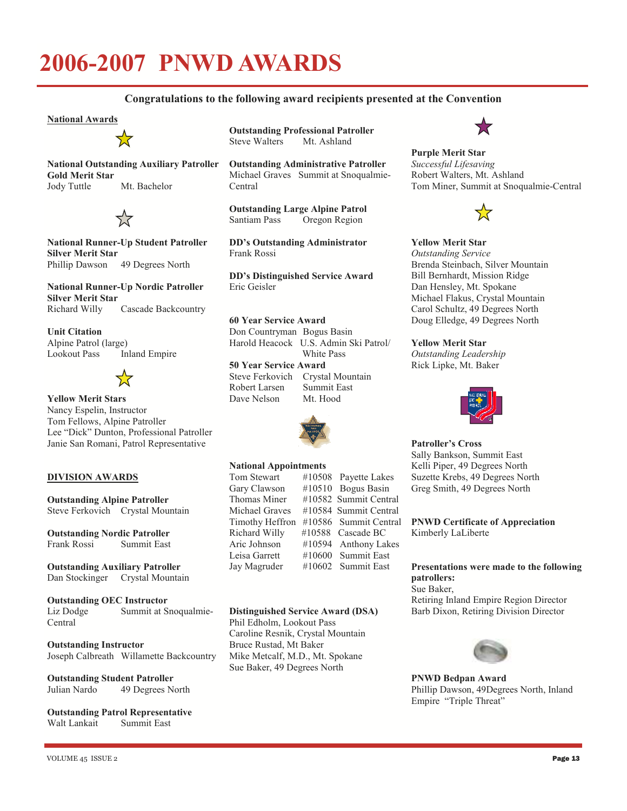# 2006-2007 PNWD AWARDS

### Congratulations to the following award recipients presented at the Convention

#### National Awards



National Outstanding Auxiliary Patroller Gold Merit Star Jody Tuttle Mt. Bachelor



National Runner-Up Student Patroller Silver Merit Star Phillip Dawson 49 Degrees North

National Runner-Up Nordic Patroller Silver Merit Star<br>Richard Willy Cascade Backcountry

Unit Citation Alpine Patrol (large) Lookout Pass Inland Empire



Yellow Merit Stars

Nancy Espelin, Instructor Tom Fellows, Alpine Patroller Lee "Dick" Dunton, Professional Patroller Janie San Romani, Patrol Representative

### DIVISION AWARDS

Outstanding Alpine Patroller Steve Ferkovich Crystal Mountain

Outstanding Nordic Patroller Frank Rossi Summit East

Outstanding Auxiliary Patroller Dan Stockinger Crystal Mountain

Outstanding OEC Instructor Liz Dodge Summit at Snoqualmie-Central

Outstanding Instructor Joseph Calbreath Willamette Backcountry

#### Outstanding Student Patroller Julian Nardo 49 Degrees North

Outstanding Patrol Representative Walt Lankait Summit East

**Outstanding Professional Patroller**<br>Steve Walters Mt. Ashland Steve Walters

Outstanding Administrative Patroller Michael Graves Summit at Snoqualmie-Central

**Outstanding Large Alpine Patrol**<br>Santiam Pass Oregon Region Oregon Region

DD's Outstanding Administrator Frank Rossi

DD's Distinguished Service Award Eric Geisler

60 Year Service Award Don Countryman Bogus Basin Harold Heacock U.S. Admin Ski Patrol/ White Pass

50 Year Service Award Steve Ferkovich Crystal Mountain<br>Robert Larsen Summit East Robert Larsen Dave Nelson Mt. Hood



### **National Appointments**<br>Tom Stewart #1050

#10508 Payette Lakes Gary Clawson #10510 Bogus Basin Thomas Miner #10582 Summit Central Michael Graves #10584 Summit Central Timothy Heffron #10586 Summit Central Richard Willy #10588 Cascade BC Aric Johnson #10594 Anthony Lakes Leisa Garrett #10600 Summit East Jay Magruder #10602 Summit East

#### Distinguished Service Award (DSA)

Phil Edholm, Lookout Pass Caroline Resnik, Crystal Mountain Bruce Rustad, Mt Baker Mike Metcalf, M.D., Mt. Spokane Sue Baker, 49 Degrees North

Purple Merit Star Successful Lifesaving Robert Walters, Mt. Ashland Tom Miner, Summit at Snoqualmie-Central



#### Yellow Merit Star Outstanding Service Brenda Steinbach, Silver Mountain Bill Bernhardt, Mission Ridge Dan Hensley, Mt. Spokane Michael Flakus, Crystal Mountain Carol Schultz, 49 Degrees North

Doug Elledge, 49 Degrees North

### Yellow Merit Star

Outstanding Leadership Rick Lipke, Mt. Baker



### Patroller's Cross

Sally Bankson, Summit East Kelli Piper, 49 Degrees North Suzette Krebs, 49 Degrees North Greg Smith, 49 Degrees North

PNWD Certificate of Appreciation Kimberly LaLiberte

#### Presentations were made to the following patrollers: Sue Baker,

Retiring Inland Empire Region Director Barb Dixon, Retiring Division Director



PNWD Bedpan Award Phillip Dawson, 49Degrees North, Inland Empire "Triple Threat"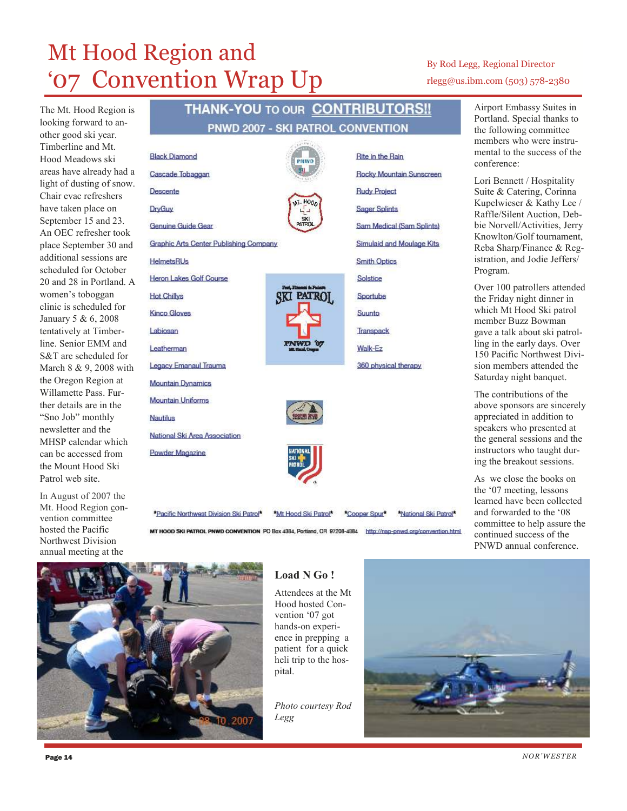# Mt Hood Region and '07 Convention Wrap Up

**Black Diamond** 

Descente

**DryGuv** 

**HelmetsRUs** 

**Hot Chillys** 

Labiosan

**Nautilus** 

Leatherman

**Kinco Gloves** 

Cascade Tobaggan

Genuine Guide Gear

Heron Lakes Golf Course

**Legacy Emanaul Trauma** 

National Ski Area Association

**Mountain Dynamics Mountain Uniforms** 

Powder Magazine

The Mt. Hood Region is looking forward to another good ski year. Timberline and Mt. Hood Meadows ski areas have already had a light of dusting of snow. Chair evac refreshers have taken place on September 15 and 23. An OEC refresher took place September 30 and additional sessions are scheduled for October 20 and 28 in Portland. A women's toboggan clinic is scheduled for January 5 & 6, 2008 tentatively at Timberline. Senior EMM and S&T are scheduled for March 8 & 9, 2008 with the Oregon Region at Willamette Pass. Further details are in the "Sno Job" monthly newsletter and the MHSP calendar which can be accessed from the Mount Hood Ski Patrol web site.

In August of 2007 the Mt. Hood Region convention committee hosted the Pacific Northwest Division annual meeting at the

### THANK-YOU TO OUR CONTRIBUTORS !! PNWD 2007 - SKI PATROL CONVENTION

**Rite in the Rain** 

**Rudy Project** 

**Sager Splints** 

**Smith Optics** 

Solstice

Sportube

Suunto

Transpack Walk-Ez

360 physical therapy

**Rocky Mountain Sunscreen** 

Sam Medical (Sam Splints)

**Simulaid and Moulage Kits** 









\*Pacific Northwest Division Ski Patrol\*

\*Cooper Spur\* \*National Ski Patrol\*

\*Mt Hood Ski Patrol\* MT HOOD SKI PATROL PNWD CONVENTION PO Box 4384, Portland, OR 97208-4384 http://nsp-pnwd.org/convention.html



### Load N Go!

Attendees at the Mt Hood hosted Convention '07 got hands-on experience in prepping a patient for a quick heli trip to the hospital.

Photo courtesy Rod Legg



### By Rod Legg, Regional Director rlegg@us.ibm.com (503) 578-2380

Airport Embassy Suites in Portland. Special thanks to the following committee members who were instrumental to the success of the conference:

Lori Bennett / Hospitality Suite & Catering, Corinna Kupelwieser & Kathy Lee / Raffle/Silent Auction, Debbie Norvell/Activities, Jerry Knowlton/Golf tournament, Reba Sharp/Finance & Registration, and Jodie Jeffers/ Program.

Over 100 patrollers attended the Friday night dinner in which Mt Hood Ski patrol member Buzz Bowman gave a talk about ski patrolling in the early days. Over 150 Pacific Northwest Division members attended the Saturday night banquet.

The contributions of the above sponsors are sincerely appreciated in addition to speakers who presented at the general sessions and the instructors who taught during the breakout sessions.

As we close the books on the '07 meeting, lessons learned have been collected and forwarded to the '08 committee to help assure the continued success of the PNWD annual conference.

NOR 'W ES T ER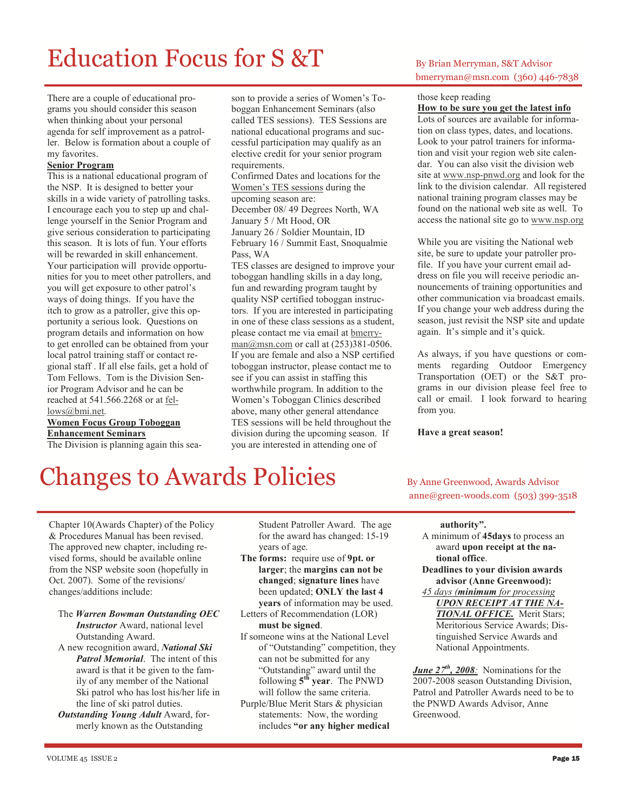# $Education$  Focus for  $S \& T$  By Brian Merryman, S&T Advisor

There are a couple of educational programs you should consider this season when thinking about your personal agenda for self improvement as a patroller. Below is formation about a couple of my favorites.

#### Senior Program

This is a national educational program of the NSP. It is designed to better your skills in a wide variety of patrolling tasks. I encourage each you to step up and challenge yourself in the Senior Program and give serious consideration to participating this season. It is lots of fun. Your efforts will be rewarded in skill enhancement. Your participation will provide opportunities for you to meet other patrollers, and you will get exposure to other patrol's ways of doing things. If you have the itch to grow as a patroller, give this opportunity a serious look. Questions on program details and information on how to get enrolled can be obtained from your local patrol training staff or contact regional staff . If all else fails, get a hold of Tom Fellows. Tom is the Division Senior Program Advisor and he can be reached at 541.566.2268 or at fellows@bmi.net.

Women Focus Group Toboggan Enhancement Seminars

The Division is planning again this sea-

son to provide a series of Women's Toboggan Enhancement Seminars (also called TES sessions). TES Sessions are national educational programs and successful participation may qualify as an elective credit for your senior program requirements.

Confirmed Dates and locations for the Women's TES sessions during the upcoming season are: December 08/ 49 Degrees North, WA

January 5 / Mt Hood, OR January 26 / Soldier Mountain, ID February 16 / Summit East, Snoqualmie Pass, WA

TES classes are designed to improve your toboggan handling skills in a day long, fun and rewarding program taught by quality NSP certified toboggan instructors. If you are interested in participating in one of these class sessions as a student, please contact me via email at bmerry $man@msn.com$  or call at  $(253)381-0506$ . If you are female and also a NSP certified toboggan instructor, please contact me to see if you can assist in staffing this worthwhile program. In addition to the Women's Toboggan Clinics described above, many other general attendance TES sessions will be held throughout the division during the upcoming season. If you are interested in attending one of

## bmerryman@msn.com (360) 446-7838

### those keep reading

How to be sure you get the latest info Lots of sources are available for information on class types, dates, and locations. Look to your patrol trainers for information and visit your region web site calendar. You can also visit the division web site at www.nsp-pnwd.org and look for the link to the division calendar. All registered national training program classes may be found on the national web site as well. To access the national site go to www.nsp.org

While you are visiting the National web site, be sure to update your patroller profile. If you have your current email address on file you will receive periodic announcements of training opportunities and other communication via broadcast emails. If you change your web address during the season, just revisit the NSP site and update again. It's simple and it's quick.

As always, if you have questions or comments regarding Outdoor Emergency Transportation (OET) or the S&T programs in our division please feel free to call or email. I look forward to hearing from you.

#### Have a great season!

# Changes to Awards Policies By Anne Greenwood, Awards Advisor

anne@green-woods.com (503) 399-3518

Chapter 10(Awards Chapter) of the Policy & Procedures Manual has been revised. The approved new chapter, including revised forms, should be available online from the NSP website soon (hopefully in Oct. 2007). Some of the revisions/ changes/additions include:

- The Warren Bowman Outstanding OEC Instructor Award, national level Outstanding Award.
- A new recognition award, National Ski Patrol Memorial. The intent of this award is that it be given to the family of any member of the National Ski patrol who has lost his/her life in the line of ski patrol duties.

**Outstanding Young Adult Award, for**merly known as the Outstanding

Student Patroller Award. The age for the award has changed: 15-19 years of age.

- The forms: require use of 9pt. or larger; the margins can not be changed; signature lines have been updated; ONLY the last 4 years of information may be used.
- Letters of Recommendation (LOR) must be signed.
- If someone wins at the National Level of "Outstanding" competition, they can not be submitted for any "Outstanding" award until the following  $5<sup>th</sup>$  year. The PNWD will follow the same criteria.
- Purple/Blue Merit Stars & physician statements: Now, the wording includes "or any higher medical

#### authority".

- A minimum of 45days to process an award upon receipt at the national office.
- Deadlines to your division awards advisor (Anne Greenwood):
- 45 days (minimum for processing UPON RECEIPT AT THE NA-**TIONAL OFFICE.** Merit Stars; Meritorious Service Awards; Distinguished Service Awards and National Appointments.

**June 27<sup>th</sup>, 2008**: Nominations for the 2007-2008 season Outstanding Division, Patrol and Patroller Awards need to be to the PNWD Awards Advisor, Anne Greenwood.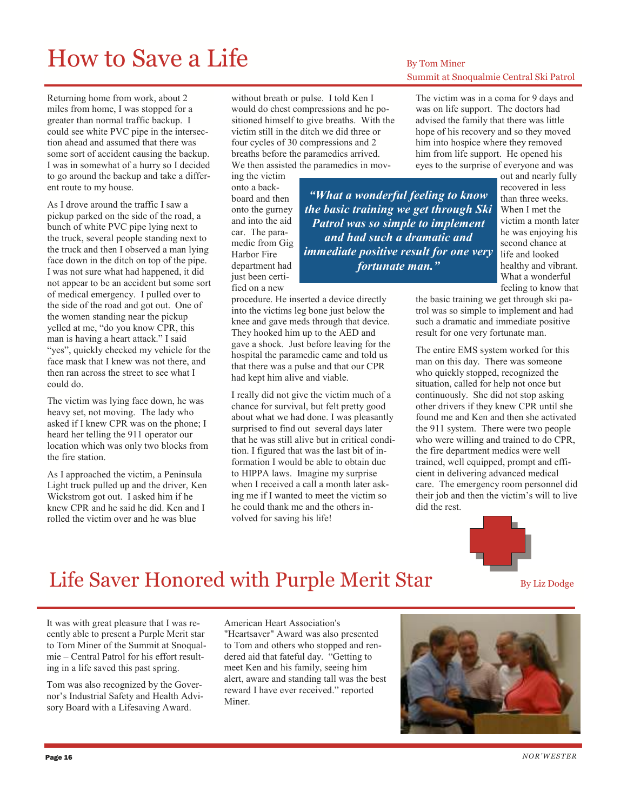# How to Save a Life  $B_{\text{By Tom Miner}}$

Returning home from work, about 2 miles from home, I was stopped for a greater than normal traffic backup. I could see white PVC pipe in the intersection ahead and assumed that there was some sort of accident causing the backup. I was in somewhat of a hurry so I decided to go around the backup and take a different route to my house.

As I drove around the traffic I saw a pickup parked on the side of the road, a bunch of white PVC pipe lying next to the truck, several people standing next to the truck and then I observed a man lying face down in the ditch on top of the pipe. I was not sure what had happened, it did not appear to be an accident but some sort of medical emergency. I pulled over to the side of the road and got out. One of the women standing near the pickup yelled at me, "do you know CPR, this man is having a heart attack." I said "yes", quickly checked my vehicle for the face mask that I knew was not there, and then ran across the street to see what I could do.

The victim was lying face down, he was heavy set, not moving. The lady who asked if I knew CPR was on the phone; I heard her telling the 911 operator our location which was only two blocks from the fire station.

As I approached the victim, a Peninsula Light truck pulled up and the driver, Ken Wickstrom got out. I asked him if he knew CPR and he said he did. Ken and I rolled the victim over and he was blue

without breath or pulse. I told Ken I would do chest compressions and he positioned himself to give breaths. With the victim still in the ditch we did three or four cycles of 30 compressions and 2 breaths before the paramedics arrived. We then assisted the paramedics in mov-

> "What a wonderful feeling to know the basic training we get through Ski Patrol was so simple to implement and had such a dramatic and immediate positive result for one very fortunate man."

ing the victim onto a backboard and then onto the gurney and into the aid car. The paramedic from Gig Harbor Fire department had just been certified on a new

procedure. He inserted a device directly into the victims leg bone just below the knee and gave meds through that device. They hooked him up to the AED and gave a shock. Just before leaving for the hospital the paramedic came and told us that there was a pulse and that our CPR had kept him alive and viable.

I really did not give the victim much of a chance for survival, but felt pretty good about what we had done. I was pleasantly surprised to find out several days later that he was still alive but in critical condition. I figured that was the last bit of information I would be able to obtain due to HIPPA laws. Imagine my surprise when I received a call a month later asking me if I wanted to meet the victim so he could thank me and the others involved for saving his life!

# Summit at Snoqualmie Central Ski Patrol

The victim was in a coma for 9 days and was on life support. The doctors had advised the family that there was little hope of his recovery and so they moved him into hospice where they removed him from life support. He opened his eyes to the surprise of everyone and was

out and nearly fully recovered in less than three weeks. When I met the victim a month later he was enjoying his second chance at life and looked healthy and vibrant. What a wonderful feeling to know that

the basic training we get through ski patrol was so simple to implement and had such a dramatic and immediate positive result for one very fortunate man.

The entire EMS system worked for this man on this day. There was someone who quickly stopped, recognized the situation, called for help not once but continuously. She did not stop asking other drivers if they knew CPR until she found me and Ken and then she activated the 911 system. There were two people who were willing and trained to do CPR, the fire department medics were well trained, well equipped, prompt and efficient in delivering advanced medical care. The emergency room personnel did their job and then the victim's will to live did the rest.



### Life Saver Honored with Purple Merit Star  $\overline{\phantom{a}}_{\text{By Liz Dodge}}$

It was with great pleasure that I was recently able to present a Purple Merit star to Tom Miner of the Summit at Snoqualmie – Central Patrol for his effort resulting in a life saved this past spring.

Tom was also recognized by the Governor's Industrial Safety and Health Advisory Board with a Lifesaving Award.

American Heart Association's "Heartsaver" Award was also presented to Tom and others who stopped and rendered aid that fateful day. "Getting to meet Ken and his family, seeing him alert, aware and standing tall was the best reward I have ever received." reported Miner.

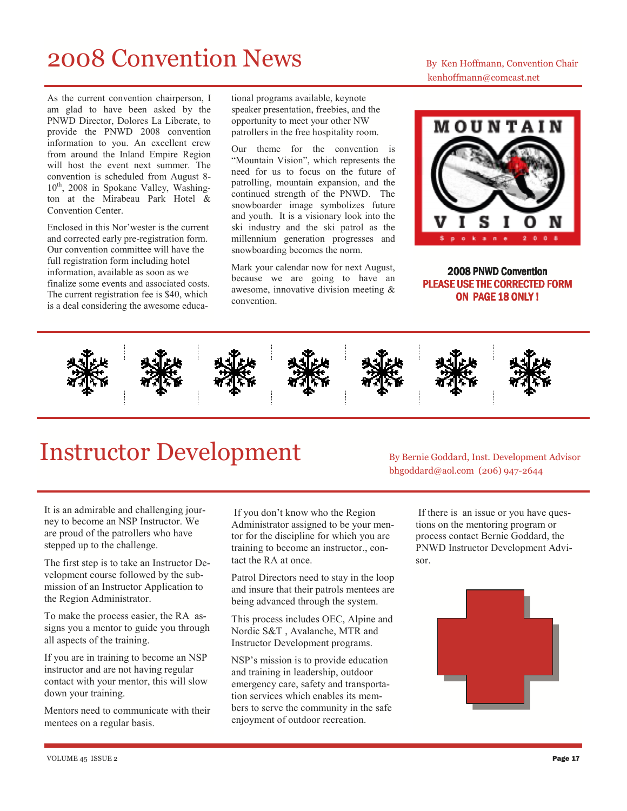# 2008 Convention News By Ken Hoffmann, Convention Chair

As the current convention chairperson, I am glad to have been asked by the PNWD Director, Dolores La Liberate, to provide the PNWD 2008 convention information to you. An excellent crew from around the Inland Empire Region will host the event next summer. The convention is scheduled from August 8-  $10^{th}$ , 2008 in Spokane Valley, Washington at the Mirabeau Park Hotel & Convention Center.

Enclosed in this Nor'wester is the current and corrected early pre-registration form. Our convention committee will have the full registration form including hotel information, available as soon as we finalize some events and associated costs. The current registration fee is \$40, which is a deal considering the awesome educa-

tional programs available, keynote speaker presentation, freebies, and the opportunity to meet your other NW patrollers in the free hospitality room.

Our theme for the convention is "Mountain Vision", which represents the need for us to focus on the future of patrolling, mountain expansion, and the continued strength of the PNWD. The snowboarder image symbolizes future and youth. It is a visionary look into the ski industry and the ski patrol as the millennium generation progresses and snowboarding becomes the norm.

Mark your calendar now for next August, because we are going to have an awesome, innovative division meeting & convention.

kenhoffmann@comcast.net



2008 PNWD Convention PLEASE USE THE CORRECTED FORM ON PAGE 18 ONLY!



# Instructor Development By Bernie Goddard, Inst. Development Advisor

It is an admirable and challenging journey to become an NSP Instructor. We are proud of the patrollers who have stepped up to the challenge.

The first step is to take an Instructor Development course followed by the submission of an Instructor Application to the Region Administrator.

To make the process easier, the RA assigns you a mentor to guide you through all aspects of the training.

If you are in training to become an NSP instructor and are not having regular contact with your mentor, this will slow down your training.

Mentors need to communicate with their mentees on a regular basis.

 If you don't know who the Region Administrator assigned to be your mentor for the discipline for which you are training to become an instructor., contact the RA at once.

Patrol Directors need to stay in the loop and insure that their patrols mentees are being advanced through the system.

This process includes OEC, Alpine and Nordic S&T , Avalanche, MTR and Instructor Development programs.

NSP's mission is to provide education and training in leadership, outdoor emergency care, safety and transportation services which enables its members to serve the community in the safe enjoyment of outdoor recreation.

bhgoddard@aol.com (206) 947-2644

 If there is an issue or you have questions on the mentoring program or process contact Bernie Goddard, the PNWD Instructor Development Advisor.

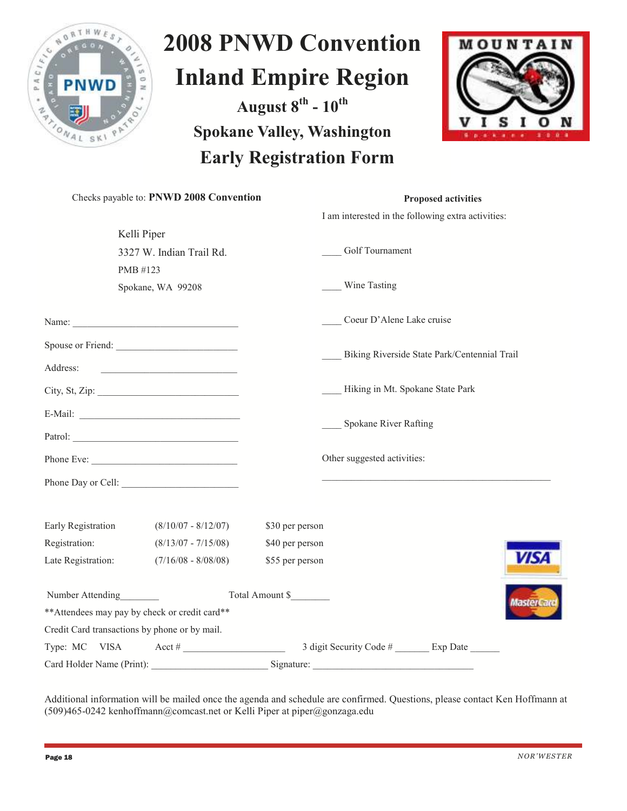

# 2008 PNWD Convention Inland Empire Region

August  $8^{th}$  -  $10^{th}$ Spokane Valley, Washington Early Registration Form



|                    | Checks payable to: PNWD 2008 Convention           | <b>Proposed activities</b>                         |  |
|--------------------|---------------------------------------------------|----------------------------------------------------|--|
|                    |                                                   | I am interested in the following extra activities: |  |
|                    | Kelli Piper                                       |                                                    |  |
|                    | 3327 W. Indian Trail Rd.                          | Golf Tournament                                    |  |
|                    | PMB #123                                          |                                                    |  |
|                    | Spokane, WA 99208                                 | Wine Tasting                                       |  |
|                    |                                                   | Coeur D'Alene Lake cruise                          |  |
|                    | Spouse or Friend:                                 |                                                    |  |
| Address:           | <u> 1990 - Johann Barbara, martxa alemaniar a</u> | Biking Riverside State Park/Centennial Trail       |  |
|                    |                                                   | Hiking in Mt. Spokane State Park                   |  |
|                    |                                                   |                                                    |  |
|                    |                                                   | Spokane River Rafting                              |  |
|                    |                                                   | Other suggested activities:                        |  |
|                    |                                                   |                                                    |  |
|                    |                                                   |                                                    |  |
| Early Registration | $(8/10/07 - 8/12/07)$                             | \$30 per person                                    |  |
| Registration:      | $(8/13/07 - 7/15/08)$                             | \$40 per person                                    |  |
| Late Registration: | $(7/16/08 - 8/08/08)$                             | <b>VISA</b><br>\$55 per person                     |  |
|                    | Number Attending                                  | Total Amount \$                                    |  |
|                    | ** Attendees may pay by check or credit card**    | Master                                             |  |
|                    | Credit Card transactions by phone or by mail.     |                                                    |  |
|                    |                                                   |                                                    |  |
|                    |                                                   |                                                    |  |

Additional information will be mailed once the agenda and schedule are confirmed. Questions, please contact Ken Hoffmann at (509)465-0242 kenhoffmann@comcast.net or Kelli Piper at piper@gonzaga.edu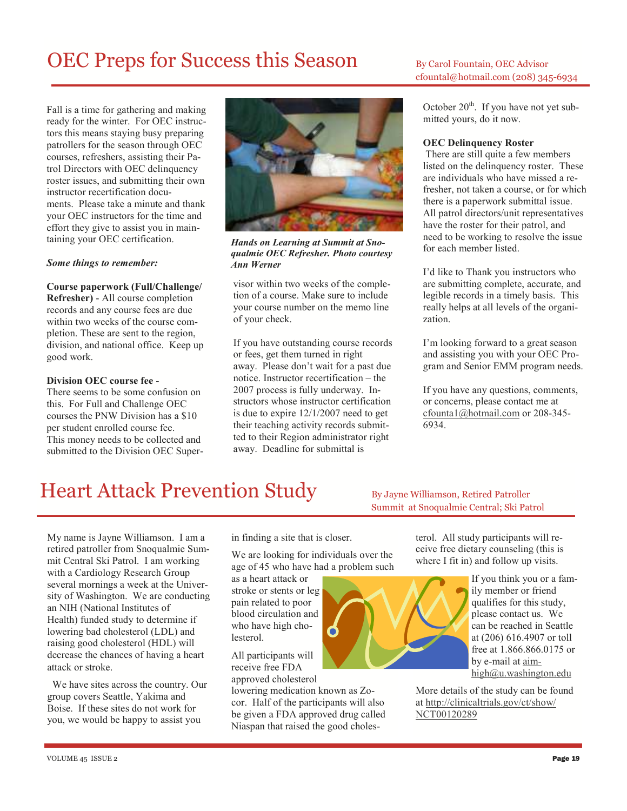# OEC Preps for Success this Season By Carol Fountain, OEC Advisor

Fall is a time for gathering and making ready for the winter. For OEC instructors this means staying busy preparing patrollers for the season through OEC courses, refreshers, assisting their Patrol Directors with OEC delinquency roster issues, and submitting their own instructor recertification documents. Please take a minute and thank your OEC instructors for the time and effort they give to assist you in maintaining your OEC certification.

#### Some things to remember:

Course paperwork (Full/Challenge/ Refresher) - All course completion records and any course fees are due within two weeks of the course completion. These are sent to the region, division, and national office. Keep up good work.

#### Division OEC course fee -

There seems to be some confusion on this. For Full and Challenge OEC courses the PNW Division has a \$10 per student enrolled course fee. This money needs to be collected and submitted to the Division OEC Super-



Hands on Learning at Summit at Snoqualmie OEC Refresher. Photo courtesy Ann Werner

visor within two weeks of the completion of a course. Make sure to include your course number on the memo line of your check.

If you have outstanding course records or fees, get them turned in right away. Please don't wait for a past due notice. Instructor recertification – the 2007 process is fully underway. Instructors whose instructor certification is due to expire 12/1/2007 need to get their teaching activity records submitted to their Region administrator right away. Deadline for submittal is

cfountal@hotmail.com (208) 345-6934

October  $20^{th}$ . If you have not yet submitted yours, do it now.

#### OEC Delinquency Roster

 There are still quite a few members listed on the delinquency roster. These are individuals who have missed a refresher, not taken a course, or for which there is a paperwork submittal issue. All patrol directors/unit representatives have the roster for their patrol, and need to be working to resolve the issue for each member listed.

I'd like to Thank you instructors who are submitting complete, accurate, and legible records in a timely basis. This really helps at all levels of the organization.

I'm looking forward to a great season and assisting you with your OEC Program and Senior EMM program needs.

If you have any questions, comments, or concerns, please contact me at cfounta1@hotmail.com or 208-345- 6934.

# Heart Attack Prevention Study By Jayne Williamson, Retired Patroller

Summit at Snoqualmie Central; Ski Patrol

My name is Jayne Williamson. I am a retired patroller from Snoqualmie Summit Central Ski Patrol. I am working with a Cardiology Research Group several mornings a week at the University of Washington. We are conducting an NIH (National Institutes of Health) funded study to determine if lowering bad cholesterol (LDL) and raising good cholesterol (HDL) will decrease the chances of having a heart attack or stroke.

 We have sites across the country. Our group covers Seattle, Yakima and Boise. If these sites do not work for you, we would be happy to assist you

in finding a site that is closer.

We are looking for individuals over the age of 45 who have had a problem such

as a heart attack or stroke or stents or leg pain related to poor blood circulation and who have high cholesterol.

All participants will receive free FDA approved cholesterol

lowering medication known as Zocor. Half of the participants will also be given a FDA approved drug called Niaspan that raised the good cholesterol. All study participants will receive free dietary counseling (this is where I fit in) and follow up visits.



If you think you or a family member or friend qualifies for this study, please contact us. We can be reached in Seattle at (206) 616.4907 or toll free at 1.866.866.0175 or by e-mail at aimhigh@u.washington.edu

More details of the study can be found at http://clinicaltrials.gov/ct/show/ NCT00120289